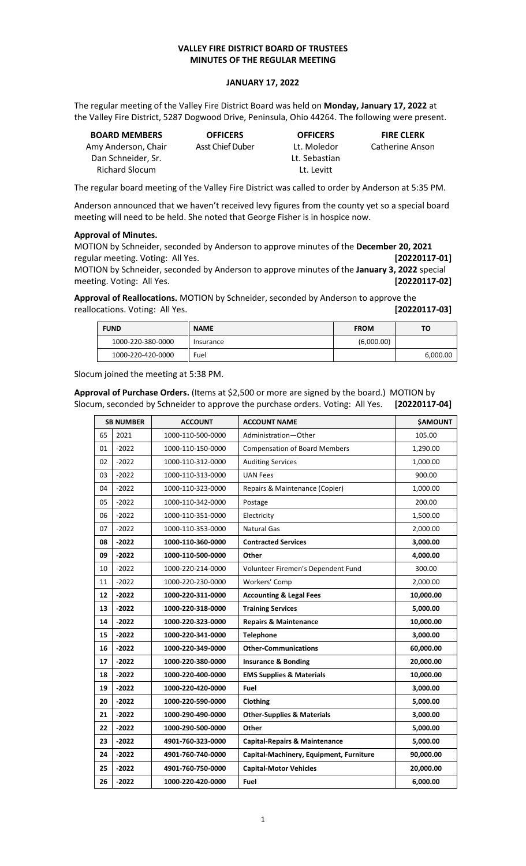### **VALLEY FIRE DISTRICT BOARD OF TRUSTEES MINUTES OF THE REGULAR MEETING**

#### **JANUARY 17, 2022**

The regular meeting of the Valley Fire District Board was held on **Monday, January 17, 2022** at the Valley Fire District, 5287 Dogwood Drive, Peninsula, Ohio 44264. The following were present.

| <b>BOARD MEMBERS</b>  | <b>OFFICERS</b>         | <b>OFFICERS</b> | <b>FIRE CLERK</b> |
|-----------------------|-------------------------|-----------------|-------------------|
| Amy Anderson, Chair   | <b>Asst Chief Duber</b> | Lt. Moledor     | Catherine Anson   |
| Dan Schneider. Sr.    |                         | Lt. Sebastian   |                   |
| <b>Richard Slocum</b> |                         | Lt. Levitt      |                   |

The regular board meeting of the Valley Fire District was called to order by Anderson at 5:35 PM.

Anderson announced that we haven't received levy figures from the county yet so a special board meeting will need to be held. She noted that George Fisher is in hospice now.

#### **Approval of Minutes.**

MOTION by Schneider, seconded by Anderson to approve minutes of the **December 20, 2021** regular meeting. Voting: All Yes. **[20220117-01]**

MOTION by Schneider, seconded by Anderson to approve minutes of the **January 3, 2022** special meeting. Voting: All Yes. **[20220117-02]**

**Approval of Reallocations.** MOTION by Schneider, seconded by Anderson to approve the reallocations. Voting: All Yes. **[20220117-03]**

| <b>FUND</b>       | <b>NAME</b> | <b>FROM</b> | TO.      |
|-------------------|-------------|-------------|----------|
| 1000-220-380-0000 | Insurance   | (6,000.00)  |          |
| 1000-220-420-0000 | Fuel        |             | 6,000.00 |

Slocum joined the meeting at 5:38 PM.

**Approval of Purchase Orders.** (Items at \$2,500 or more are signed by the board.) MOTION by Slocum, seconded by Schneider to approve the purchase orders. Voting: All Yes. **[20220117-04]**

| <b>SB NUMBER</b> |         | <b>ACCOUNT</b>    | <b>ACCOUNT NAME</b>                      | <b>\$AMOUNT</b> |
|------------------|---------|-------------------|------------------------------------------|-----------------|
| 65               | 2021    | 1000-110-500-0000 | Administration-Other                     | 105.00          |
| 01               | $-2022$ | 1000-110-150-0000 | <b>Compensation of Board Members</b>     | 1,290.00        |
| 02               | $-2022$ | 1000-110-312-0000 | <b>Auditing Services</b>                 | 1,000.00        |
| 03               | $-2022$ | 1000-110-313-0000 | <b>UAN Fees</b>                          | 900.00          |
| 04               | $-2022$ | 1000-110-323-0000 | Repairs & Maintenance (Copier)           | 1,000.00        |
| 05               | $-2022$ | 1000-110-342-0000 | Postage                                  | 200.00          |
| 06               | $-2022$ | 1000-110-351-0000 | Electricity                              | 1,500.00        |
| 07               | $-2022$ | 1000-110-353-0000 | <b>Natural Gas</b>                       | 2,000.00        |
| 08               | $-2022$ | 1000-110-360-0000 | <b>Contracted Services</b>               | 3,000.00        |
| 09               | $-2022$ | 1000-110-500-0000 | Other                                    | 4,000.00        |
| 10               | $-2022$ | 1000-220-214-0000 | Volunteer Firemen's Dependent Fund       | 300.00          |
| 11               | $-2022$ | 1000-220-230-0000 | Workers' Comp                            | 2,000.00        |
| 12               | $-2022$ | 1000-220-311-0000 | <b>Accounting &amp; Legal Fees</b>       | 10,000.00       |
| 13               | $-2022$ | 1000-220-318-0000 | <b>Training Services</b>                 | 5,000.00        |
| 14               | $-2022$ | 1000-220-323-0000 | <b>Repairs &amp; Maintenance</b>         | 10,000.00       |
| 15               | $-2022$ | 1000-220-341-0000 | <b>Telephone</b>                         | 3,000.00        |
| 16               | $-2022$ | 1000-220-349-0000 | <b>Other-Communications</b>              | 60,000.00       |
| 17               | $-2022$ | 1000-220-380-0000 | <b>Insurance &amp; Bonding</b>           | 20,000.00       |
| 18               | $-2022$ | 1000-220-400-0000 | <b>EMS Supplies &amp; Materials</b>      | 10,000.00       |
| 19               | $-2022$ | 1000-220-420-0000 | Fuel                                     | 3,000.00        |
| 20               | $-2022$ | 1000-220-590-0000 | Clothing                                 | 5,000.00        |
| 21               | $-2022$ | 1000-290-490-0000 | <b>Other-Supplies &amp; Materials</b>    | 3,000.00        |
| 22               | $-2022$ | 1000-290-500-0000 | Other                                    | 5,000.00        |
| 23               | $-2022$ | 4901-760-323-0000 | <b>Capital-Repairs &amp; Maintenance</b> | 5,000.00        |
| 24               | $-2022$ | 4901-760-740-0000 | Capital-Machinery, Equipment, Furniture  | 90,000.00       |
| 25               | $-2022$ | 4901-760-750-0000 | <b>Capital-Motor Vehicles</b>            | 20,000.00       |
| 26               | $-2022$ | 1000-220-420-0000 | Fuel                                     | 6,000.00        |